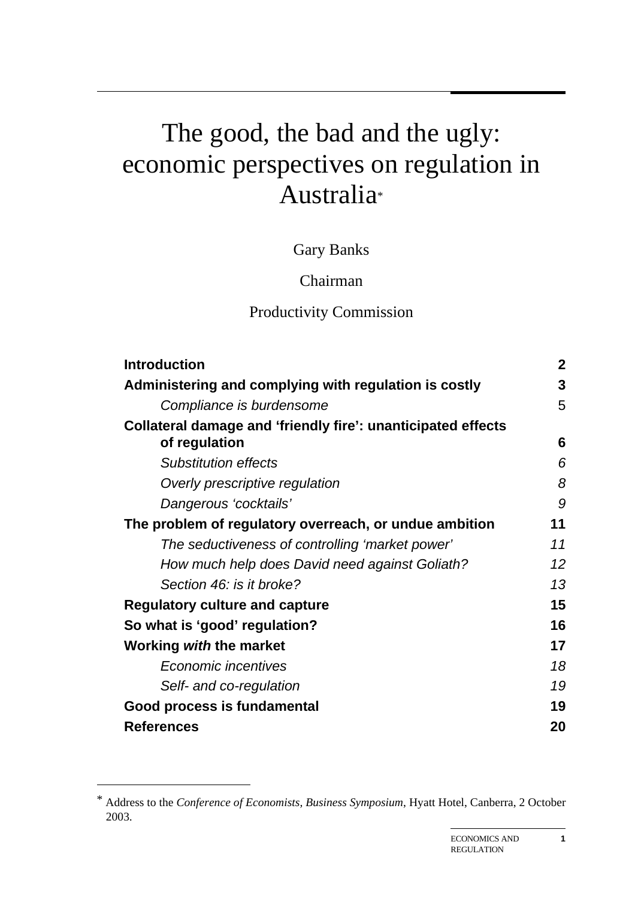# The good, the bad and the ugly: economic perspectives on regulation in Australia\*

Gary Banks

# Chairman

# Productivity Commission

| <b>Introduction</b>                                          | $\mathbf{2}$ |
|--------------------------------------------------------------|--------------|
| Administering and complying with regulation is costly        | 3            |
| Compliance is burdensome                                     | 5            |
| Collateral damage and 'friendly fire': unanticipated effects |              |
| of regulation                                                | 6            |
| <b>Substitution effects</b>                                  | 6            |
| Overly prescriptive regulation                               | 8            |
| Dangerous 'cocktails'                                        | 9            |
| The problem of regulatory overreach, or undue ambition       | 11           |
| The seductiveness of controlling 'market power'              | 11           |
| How much help does David need against Goliath?               | 12           |
| Section 46: is it broke?                                     | 13           |
| Regulatory culture and capture                               | 15           |
| So what is 'good' regulation?                                | 16           |
| <b>Working with the market</b>                               | 17           |
| Economic incentives                                          | 18           |
| Self- and co-regulation                                      | 19           |
| Good process is fundamental                                  | 19           |
| <b>References</b>                                            | 20           |

 $\overline{a}$ 

<sup>\*</sup> Address to the *Conference of Economists, Business Symposium*, Hyatt Hotel, Canberra, 2 October 2003.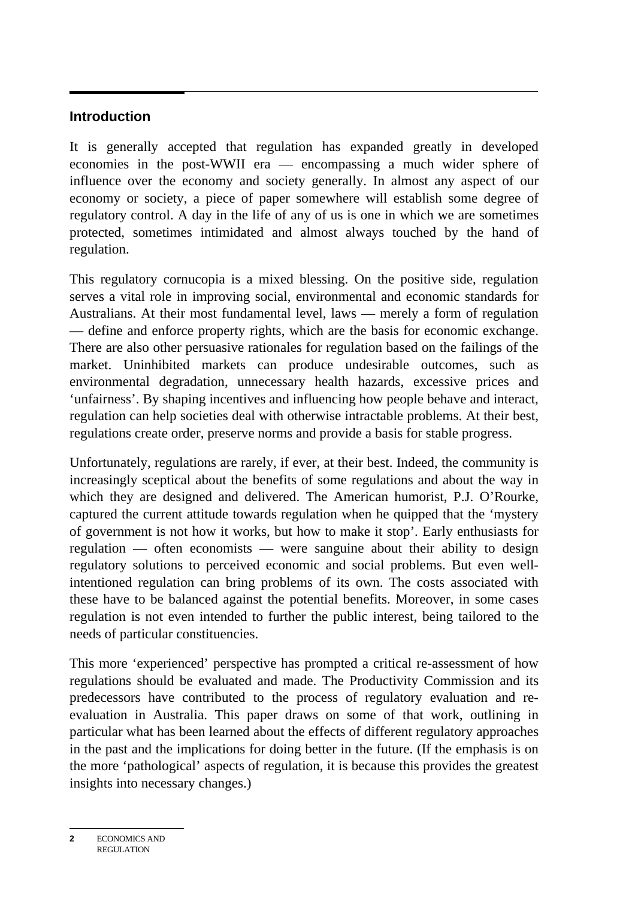#### **Introduction**

It is generally accepted that regulation has expanded greatly in developed economies in the post-WWII era — encompassing a much wider sphere of influence over the economy and society generally. In almost any aspect of our economy or society, a piece of paper somewhere will establish some degree of regulatory control. A day in the life of any of us is one in which we are sometimes protected, sometimes intimidated and almost always touched by the hand of regulation.

This regulatory cornucopia is a mixed blessing. On the positive side, regulation serves a vital role in improving social, environmental and economic standards for Australians. At their most fundamental level, laws — merely a form of regulation — define and enforce property rights, which are the basis for economic exchange. There are also other persuasive rationales for regulation based on the failings of the market. Uninhibited markets can produce undesirable outcomes, such as environmental degradation, unnecessary health hazards, excessive prices and 'unfairness'. By shaping incentives and influencing how people behave and interact, regulation can help societies deal with otherwise intractable problems. At their best, regulations create order, preserve norms and provide a basis for stable progress.

Unfortunately, regulations are rarely, if ever, at their best. Indeed, the community is increasingly sceptical about the benefits of some regulations and about the way in which they are designed and delivered. The American humorist, P.J. O'Rourke, captured the current attitude towards regulation when he quipped that the 'mystery of government is not how it works, but how to make it stop'. Early enthusiasts for regulation — often economists — were sanguine about their ability to design regulatory solutions to perceived economic and social problems. But even wellintentioned regulation can bring problems of its own. The costs associated with these have to be balanced against the potential benefits. Moreover, in some cases regulation is not even intended to further the public interest, being tailored to the needs of particular constituencies.

This more 'experienced' perspective has prompted a critical re-assessment of how regulations should be evaluated and made. The Productivity Commission and its predecessors have contributed to the process of regulatory evaluation and reevaluation in Australia. This paper draws on some of that work, outlining in particular what has been learned about the effects of different regulatory approaches in the past and the implications for doing better in the future. (If the emphasis is on the more 'pathological' aspects of regulation, it is because this provides the greatest insights into necessary changes.)

**<sup>2</sup>** ECONOMICS AND REGULATION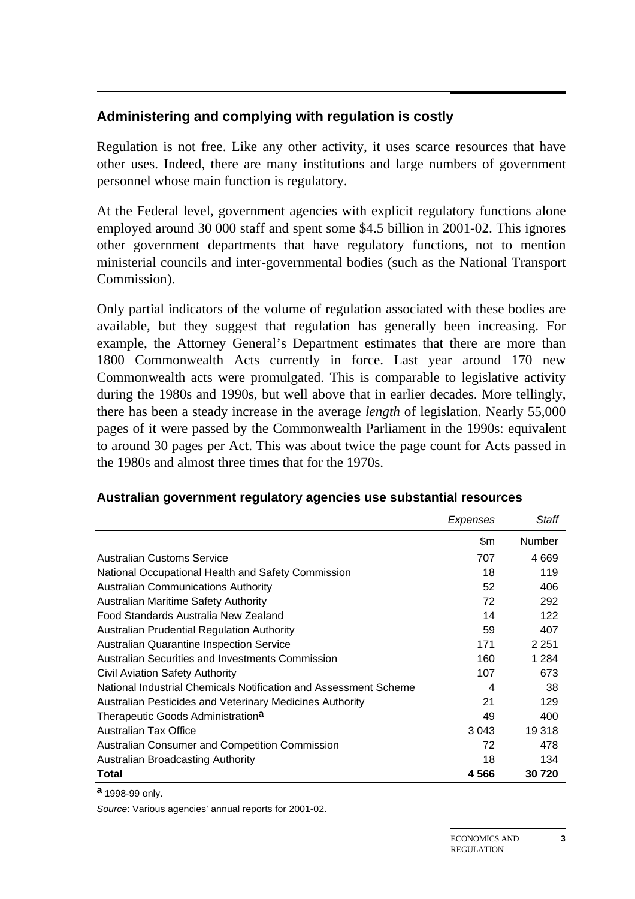# **Administering and complying with regulation is costly**

Regulation is not free. Like any other activity, it uses scarce resources that have other uses. Indeed, there are many institutions and large numbers of government personnel whose main function is regulatory.

At the Federal level, government agencies with explicit regulatory functions alone employed around 30 000 staff and spent some \$4.5 billion in 2001-02. This ignores other government departments that have regulatory functions, not to mention ministerial councils and inter-governmental bodies (such as the National Transport Commission).

Only partial indicators of the volume of regulation associated with these bodies are available, but they suggest that regulation has generally been increasing. For example, the Attorney General's Department estimates that there are more than 1800 Commonwealth Acts currently in force. Last year around 170 new Commonwealth acts were promulgated. This is comparable to legislative activity during the 1980s and 1990s, but well above that in earlier decades. More tellingly, there has been a steady increase in the average *length* of legislation. Nearly 55,000 pages of it were passed by the Commonwealth Parliament in the 1990s: equivalent to around 30 pages per Act. This was about twice the page count for Acts passed in the 1980s and almost three times that for the 1970s.

|                                                                  | Expenses | Staff   |
|------------------------------------------------------------------|----------|---------|
|                                                                  | \$m      | Number  |
| Australian Customs Service                                       | 707      | 4 6 6 9 |
| National Occupational Health and Safety Commission               | 18       | 119     |
| <b>Australian Communications Authority</b>                       | 52       | 406     |
| <b>Australian Maritime Safety Authority</b>                      | 72       | 292     |
| Food Standards Australia New Zealand                             | 14       | 122     |
| <b>Australian Prudential Regulation Authority</b>                | 59       | 407     |
| <b>Australian Quarantine Inspection Service</b>                  | 171      | 2 2 5 1 |
| Australian Securities and Investments Commission                 | 160      | 1 2 8 4 |
| <b>Civil Aviation Safety Authority</b>                           | 107      | 673     |
| National Industrial Chemicals Notification and Assessment Scheme | 4        | 38      |
| Australian Pesticides and Veterinary Medicines Authority         | 21       | 129     |
| Therapeutic Goods Administration <sup>a</sup>                    | 49       | 400     |
| Australian Tax Office                                            | 3 0 4 3  | 19 318  |
| <b>Australian Consumer and Competition Commission</b>            | 72       | 478     |
| Australian Broadcasting Authority                                | 18       | 134     |
| <b>Total</b>                                                     | 4566     | 30 720  |

#### **Australian government regulatory agencies use substantial resources**

**a** 1998-99 only.

*Source*: Various agencies' annual reports for 2001-02.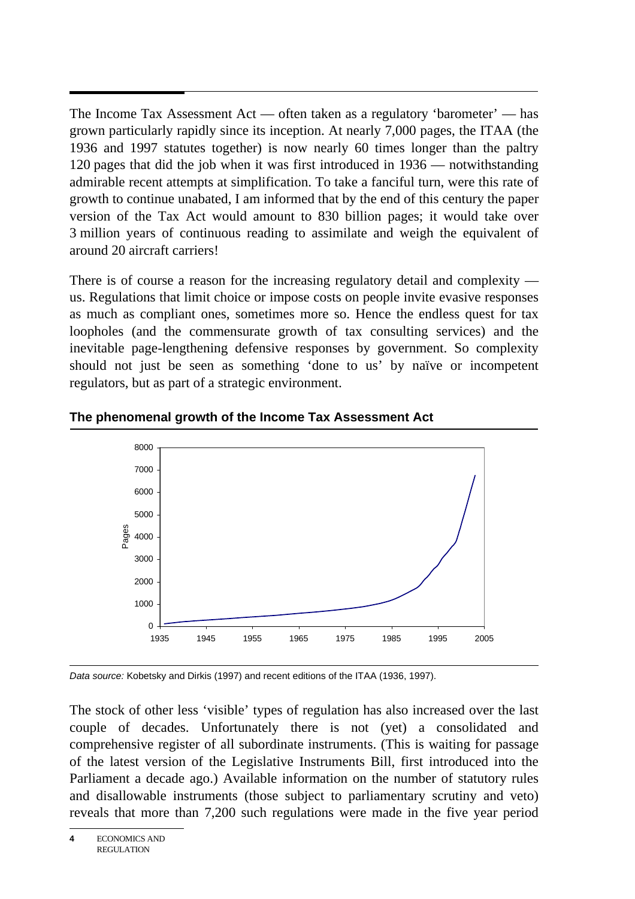$\overline{a}$ The Income Tax Assessment Act — often taken as a regulatory 'barometer' — has grown particularly rapidly since its inception. At nearly 7,000 pages, the ITAA (the 1936 and 1997 statutes together) is now nearly 60 times longer than the paltry 120 pages that did the job when it was first introduced in 1936 — notwithstanding admirable recent attempts at simplification. To take a fanciful turn, were this rate of growth to continue unabated, I am informed that by the end of this century the paper version of the Tax Act would amount to 830 billion pages; it would take over 3 million years of continuous reading to assimilate and weigh the equivalent of around 20 aircraft carriers!

There is of course a reason for the increasing regulatory detail and complexity us. Regulations that limit choice or impose costs on people invite evasive responses as much as compliant ones, sometimes more so. Hence the endless quest for tax loopholes (and the commensurate growth of tax consulting services) and the inevitable page-lengthening defensive responses by government. So complexity should not just be seen as something 'done to us' by naïve or incompetent regulators, but as part of a strategic environment.



**The phenomenal growth of the Income Tax Assessment Act** 

*Data source:* Kobetsky and Dirkis (1997) and recent editions of the ITAA (1936, 1997).

The stock of other less 'visible' types of regulation has also increased over the last couple of decades. Unfortunately there is not (yet) a consolidated and comprehensive register of all subordinate instruments. (This is waiting for passage of the latest version of the Legislative Instruments Bill, first introduced into the Parliament a decade ago.) Available information on the number of statutory rules and disallowable instruments (those subject to parliamentary scrutiny and veto) reveals that more than 7,200 such regulations were made in the five year period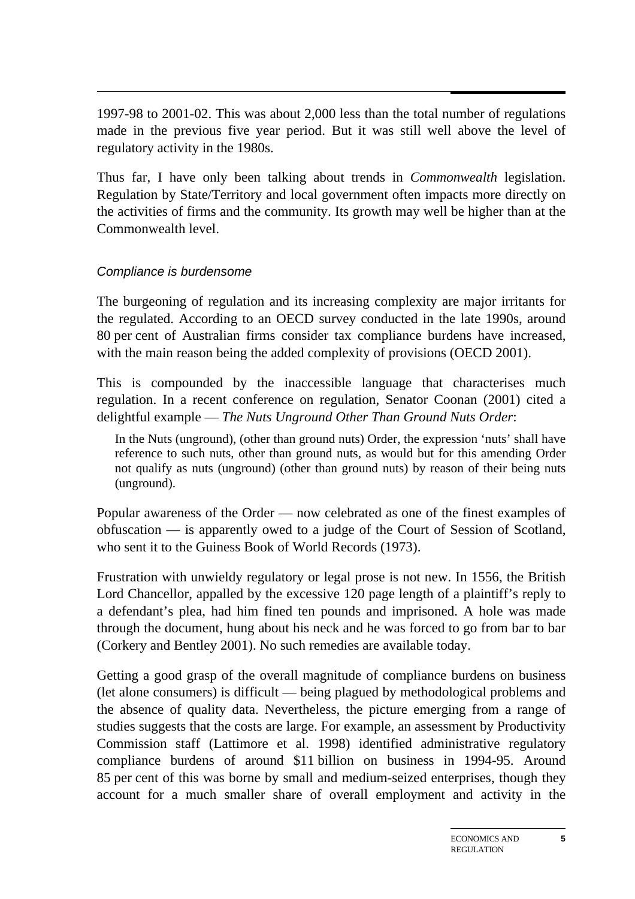$\overline{a}$ 1997-98 to 2001-02. This was about 2,000 less than the total number of regulations made in the previous five year period. But it was still well above the level of regulatory activity in the 1980s.

Thus far, I have only been talking about trends in *Commonwealth* legislation. Regulation by State/Territory and local government often impacts more directly on the activities of firms and the community. Its growth may well be higher than at the Commonwealth level.

#### *Compliance is burdensome*

The burgeoning of regulation and its increasing complexity are major irritants for the regulated. According to an OECD survey conducted in the late 1990s, around 80 per cent of Australian firms consider tax compliance burdens have increased, with the main reason being the added complexity of provisions (OECD 2001).

This is compounded by the inaccessible language that characterises much regulation. In a recent conference on regulation, Senator Coonan (2001) cited a delightful example — *The Nuts Unground Other Than Ground Nuts Order*:

In the Nuts (unground), (other than ground nuts) Order, the expression 'nuts' shall have reference to such nuts, other than ground nuts, as would but for this amending Order not qualify as nuts (unground) (other than ground nuts) by reason of their being nuts (unground).

Popular awareness of the Order — now celebrated as one of the finest examples of obfuscation — is apparently owed to a judge of the Court of Session of Scotland, who sent it to the Guiness Book of World Records (1973).

Frustration with unwieldy regulatory or legal prose is not new. In 1556, the British Lord Chancellor, appalled by the excessive 120 page length of a plaintiff's reply to a defendant's plea, had him fined ten pounds and imprisoned. A hole was made through the document, hung about his neck and he was forced to go from bar to bar (Corkery and Bentley 2001). No such remedies are available today.

Getting a good grasp of the overall magnitude of compliance burdens on business (let alone consumers) is difficult — being plagued by methodological problems and the absence of quality data. Nevertheless, the picture emerging from a range of studies suggests that the costs are large. For example, an assessment by Productivity Commission staff (Lattimore et al. 1998) identified administrative regulatory compliance burdens of around \$11 billion on business in 1994-95. Around 85 per cent of this was borne by small and medium-seized enterprises, though they account for a much smaller share of overall employment and activity in the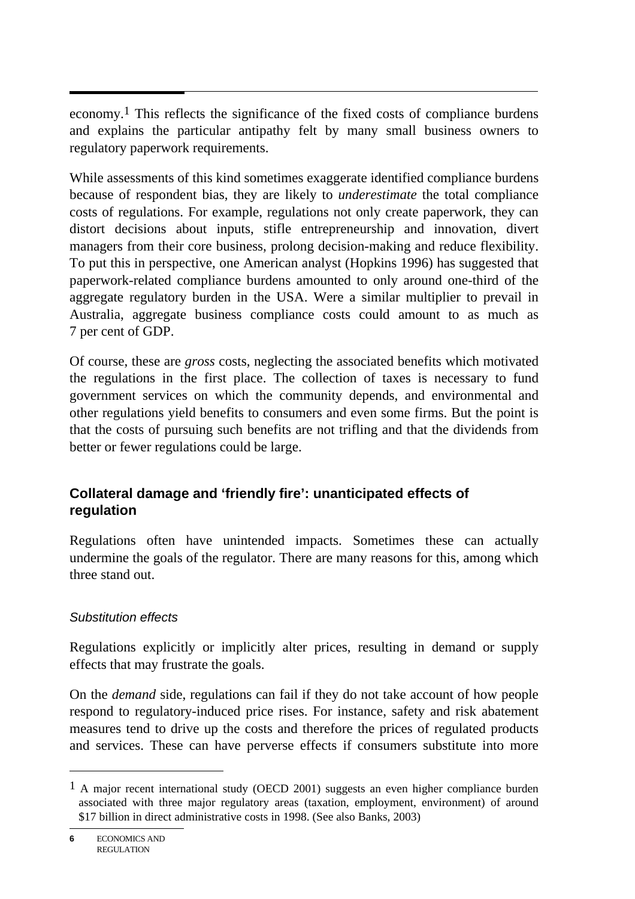economy.<sup>1</sup> This reflects the significance of the fixed costs of compliance burdens and explains the particular antipathy felt by many small business owners to regulatory paperwork requirements.

While assessments of this kind sometimes exaggerate identified compliance burdens because of respondent bias, they are likely to *underestimate* the total compliance costs of regulations. For example, regulations not only create paperwork, they can distort decisions about inputs, stifle entrepreneurship and innovation, divert managers from their core business, prolong decision-making and reduce flexibility. To put this in perspective, one American analyst (Hopkins 1996) has suggested that paperwork-related compliance burdens amounted to only around one-third of the aggregate regulatory burden in the USA. Were a similar multiplier to prevail in Australia, aggregate business compliance costs could amount to as much as 7 per cent of GDP.

Of course, these are *gross* costs, neglecting the associated benefits which motivated the regulations in the first place. The collection of taxes is necessary to fund government services on which the community depends, and environmental and other regulations yield benefits to consumers and even some firms. But the point is that the costs of pursuing such benefits are not trifling and that the dividends from better or fewer regulations could be large.

# **Collateral damage and 'friendly fire': unanticipated effects of regulation**

Regulations often have unintended impacts. Sometimes these can actually undermine the goals of the regulator. There are many reasons for this, among which three stand out.

#### *Substitution effects*

Regulations explicitly or implicitly alter prices, resulting in demand or supply effects that may frustrate the goals.

On the *demand* side, regulations can fail if they do not take account of how people respond to regulatory-induced price rises. For instance, safety and risk abatement measures tend to drive up the costs and therefore the prices of regulated products and services. These can have perverse effects if consumers substitute into more

 $\overline{a}$ 

<sup>1</sup> A major recent international study (OECD 2001) suggests an even higher compliance burden associated with three major regulatory areas (taxation, employment, environment) of around \$17 billion in direct administrative costs in 1998. (See also Banks, 2003)

**<sup>6</sup>** ECONOMICS AND REGULATION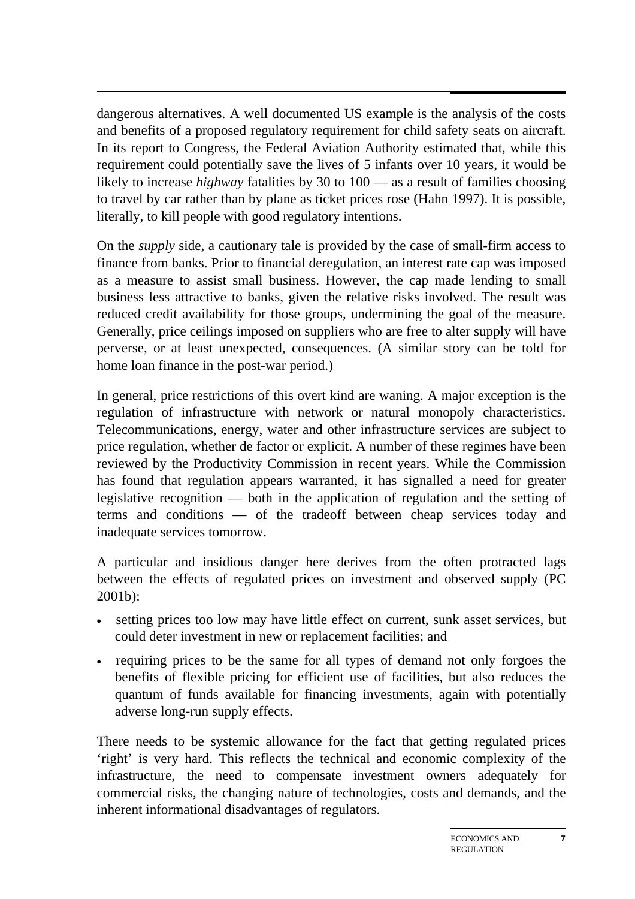dangerous alternatives. A well documented US example is the analysis of the costs and benefits of a proposed regulatory requirement for child safety seats on aircraft. In its report to Congress, the Federal Aviation Authority estimated that, while this requirement could potentially save the lives of 5 infants over 10 years, it would be likely to increase *highway* fatalities by 30 to 100 — as a result of families choosing to travel by car rather than by plane as ticket prices rose (Hahn 1997). It is possible, literally, to kill people with good regulatory intentions.

On the *supply* side, a cautionary tale is provided by the case of small-firm access to finance from banks. Prior to financial deregulation, an interest rate cap was imposed as a measure to assist small business. However, the cap made lending to small business less attractive to banks, given the relative risks involved. The result was reduced credit availability for those groups, undermining the goal of the measure. Generally, price ceilings imposed on suppliers who are free to alter supply will have perverse, or at least unexpected, consequences. (A similar story can be told for home loan finance in the post-war period.)

In general, price restrictions of this overt kind are waning. A major exception is the regulation of infrastructure with network or natural monopoly characteristics. Telecommunications, energy, water and other infrastructure services are subject to price regulation, whether de factor or explicit. A number of these regimes have been reviewed by the Productivity Commission in recent years. While the Commission has found that regulation appears warranted, it has signalled a need for greater legislative recognition — both in the application of regulation and the setting of terms and conditions — of the tradeoff between cheap services today and inadequate services tomorrow.

A particular and insidious danger here derives from the often protracted lags between the effects of regulated prices on investment and observed supply (PC 2001b):

- setting prices too low may have little effect on current, sunk asset services, but could deter investment in new or replacement facilities; and
- requiring prices to be the same for all types of demand not only forgoes the benefits of flexible pricing for efficient use of facilities, but also reduces the quantum of funds available for financing investments, again with potentially adverse long-run supply effects.

There needs to be systemic allowance for the fact that getting regulated prices 'right' is very hard. This reflects the technical and economic complexity of the infrastructure, the need to compensate investment owners adequately for commercial risks, the changing nature of technologies, costs and demands, and the inherent informational disadvantages of regulators.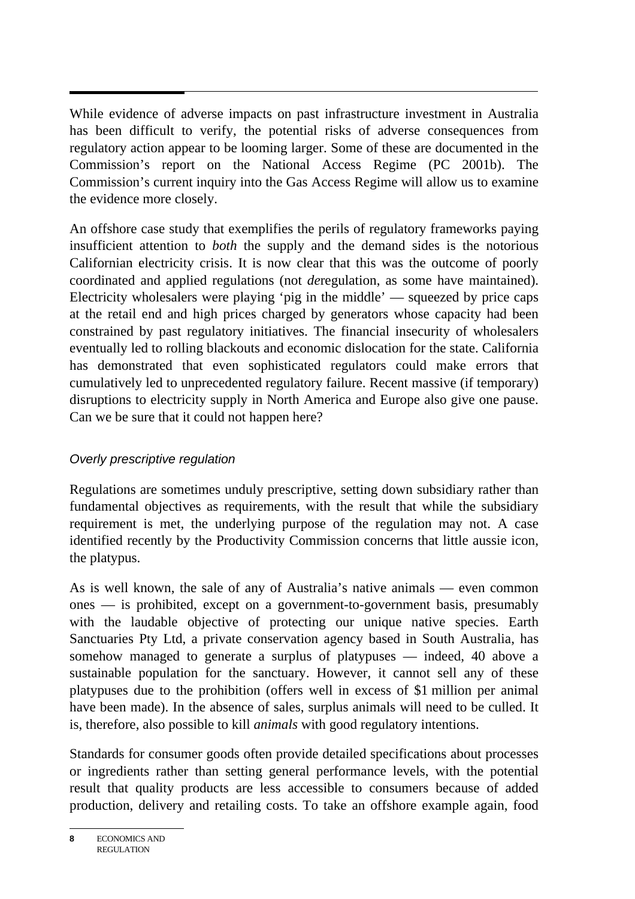$\overline{a}$ While evidence of adverse impacts on past infrastructure investment in Australia has been difficult to verify, the potential risks of adverse consequences from regulatory action appear to be looming larger. Some of these are documented in the Commission's report on the National Access Regime (PC 2001b). The Commission's current inquiry into the Gas Access Regime will allow us to examine the evidence more closely.

An offshore case study that exemplifies the perils of regulatory frameworks paying insufficient attention to *both* the supply and the demand sides is the notorious Californian electricity crisis. It is now clear that this was the outcome of poorly coordinated and applied regulations (not *de*regulation, as some have maintained). Electricity wholesalers were playing 'pig in the middle' — squeezed by price caps at the retail end and high prices charged by generators whose capacity had been constrained by past regulatory initiatives. The financial insecurity of wholesalers eventually led to rolling blackouts and economic dislocation for the state. California has demonstrated that even sophisticated regulators could make errors that cumulatively led to unprecedented regulatory failure. Recent massive (if temporary) disruptions to electricity supply in North America and Europe also give one pause. Can we be sure that it could not happen here?

#### *Overly prescriptive regulation*

Regulations are sometimes unduly prescriptive, setting down subsidiary rather than fundamental objectives as requirements, with the result that while the subsidiary requirement is met, the underlying purpose of the regulation may not. A case identified recently by the Productivity Commission concerns that little aussie icon, the platypus.

As is well known, the sale of any of Australia's native animals — even common ones — is prohibited, except on a government-to-government basis, presumably with the laudable objective of protecting our unique native species. Earth Sanctuaries Pty Ltd, a private conservation agency based in South Australia, has somehow managed to generate a surplus of platypuses — indeed, 40 above a sustainable population for the sanctuary. However, it cannot sell any of these platypuses due to the prohibition (offers well in excess of \$1 million per animal have been made). In the absence of sales, surplus animals will need to be culled. It is, therefore, also possible to kill *animals* with good regulatory intentions.

Standards for consumer goods often provide detailed specifications about processes or ingredients rather than setting general performance levels, with the potential result that quality products are less accessible to consumers because of added production, delivery and retailing costs. To take an offshore example again, food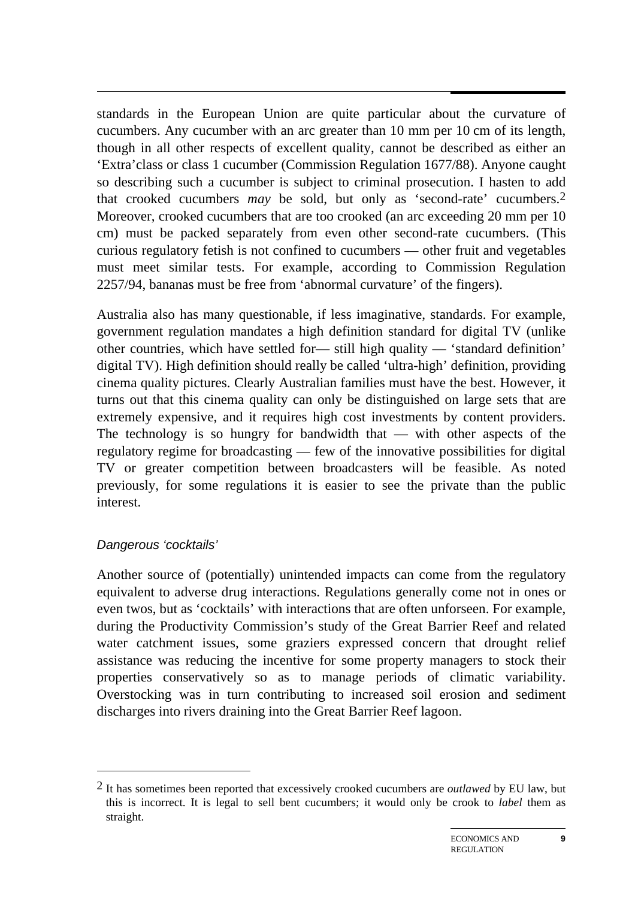standards in the European Union are quite particular about the curvature of cucumbers. Any cucumber with an arc greater than 10 mm per 10 cm of its length, though in all other respects of excellent quality, cannot be described as either an 'Extra'class or class 1 cucumber (Commission Regulation 1677/88). Anyone caught so describing such a cucumber is subject to criminal prosecution. I hasten to add that crooked cucumbers *may* be sold, but only as 'second-rate' cucumbers.2 Moreover, crooked cucumbers that are too crooked (an arc exceeding 20 mm per 10 cm) must be packed separately from even other second-rate cucumbers. (This curious regulatory fetish is not confined to cucumbers — other fruit and vegetables must meet similar tests. For example, according to Commission Regulation 2257/94, bananas must be free from 'abnormal curvature' of the fingers).

Australia also has many questionable, if less imaginative, standards. For example, government regulation mandates a high definition standard for digital TV (unlike other countries, which have settled for— still high quality — 'standard definition' digital TV). High definition should really be called 'ultra-high' definition, providing cinema quality pictures. Clearly Australian families must have the best. However, it turns out that this cinema quality can only be distinguished on large sets that are extremely expensive, and it requires high cost investments by content providers. The technology is so hungry for bandwidth that — with other aspects of the regulatory regime for broadcasting — few of the innovative possibilities for digital TV or greater competition between broadcasters will be feasible. As noted previously, for some regulations it is easier to see the private than the public interest.

#### *Dangerous 'cocktails'*

 $\overline{a}$ 

Another source of (potentially) unintended impacts can come from the regulatory equivalent to adverse drug interactions. Regulations generally come not in ones or even twos, but as 'cocktails' with interactions that are often unforseen. For example, during the Productivity Commission's study of the Great Barrier Reef and related water catchment issues, some graziers expressed concern that drought relief assistance was reducing the incentive for some property managers to stock their properties conservatively so as to manage periods of climatic variability. Overstocking was in turn contributing to increased soil erosion and sediment discharges into rivers draining into the Great Barrier Reef lagoon.

<sup>2</sup> It has sometimes been reported that excessively crooked cucumbers are *outlawed* by EU law, but this is incorrect. It is legal to sell bent cucumbers; it would only be crook to *label* them as straight.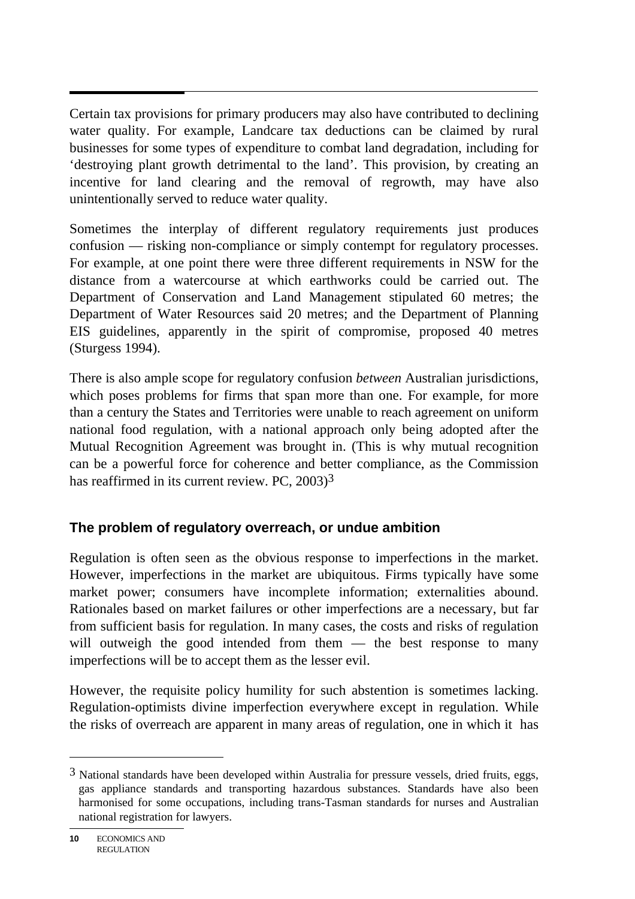$\overline{a}$ Certain tax provisions for primary producers may also have contributed to declining water quality. For example, Landcare tax deductions can be claimed by rural businesses for some types of expenditure to combat land degradation, including for 'destroying plant growth detrimental to the land'. This provision, by creating an incentive for land clearing and the removal of regrowth, may have also unintentionally served to reduce water quality.

Sometimes the interplay of different regulatory requirements just produces confusion — risking non-compliance or simply contempt for regulatory processes. For example, at one point there were three different requirements in NSW for the distance from a watercourse at which earthworks could be carried out. The Department of Conservation and Land Management stipulated 60 metres; the Department of Water Resources said 20 metres; and the Department of Planning EIS guidelines, apparently in the spirit of compromise, proposed 40 metres (Sturgess 1994).

There is also ample scope for regulatory confusion *between* Australian jurisdictions, which poses problems for firms that span more than one. For example, for more than a century the States and Territories were unable to reach agreement on uniform national food regulation, with a national approach only being adopted after the Mutual Recognition Agreement was brought in. (This is why mutual recognition can be a powerful force for coherence and better compliance, as the Commission has reaffirmed in its current review. PC, 2003)<sup>3</sup>

# **The problem of regulatory overreach, or undue ambition**

Regulation is often seen as the obvious response to imperfections in the market. However, imperfections in the market are ubiquitous. Firms typically have some market power; consumers have incomplete information; externalities abound. Rationales based on market failures or other imperfections are a necessary, but far from sufficient basis for regulation. In many cases, the costs and risks of regulation will outweigh the good intended from them — the best response to many imperfections will be to accept them as the lesser evil.

However, the requisite policy humility for such abstention is sometimes lacking. Regulation-optimists divine imperfection everywhere except in regulation. While the risks of overreach are apparent in many areas of regulation, one in which it has

 $3$  National standards have been developed within Australia for pressure vessels, dried fruits, eggs, gas appliance standards and transporting hazardous substances. Standards have also been harmonised for some occupations, including trans-Tasman standards for nurses and Australian national registration for lawyers.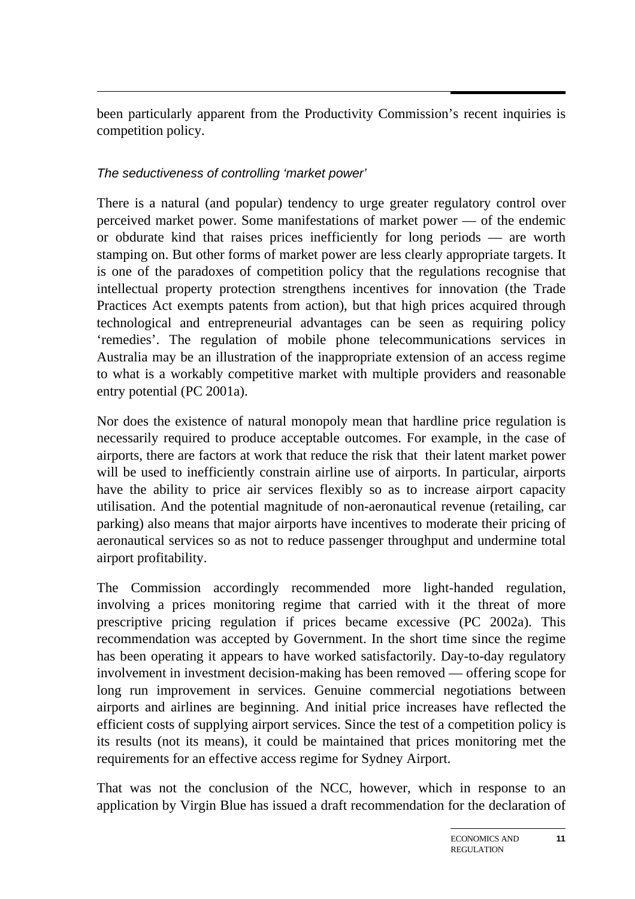$\overline{a}$ been particularly apparent from the Productivity Commission's recent inquiries is competition policy.

## *The seductiveness of controlling 'market power'*

There is a natural (and popular) tendency to urge greater regulatory control over perceived market power. Some manifestations of market power — of the endemic or obdurate kind that raises prices inefficiently for long periods — are worth stamping on. But other forms of market power are less clearly appropriate targets. It is one of the paradoxes of competition policy that the regulations recognise that intellectual property protection strengthens incentives for innovation (the Trade Practices Act exempts patents from action), but that high prices acquired through technological and entrepreneurial advantages can be seen as requiring policy 'remedies'. The regulation of mobile phone telecommunications services in Australia may be an illustration of the inappropriate extension of an access regime to what is a workably competitive market with multiple providers and reasonable entry potential (PC 2001a).

Nor does the existence of natural monopoly mean that hardline price regulation is necessarily required to produce acceptable outcomes. For example, in the case of airports, there are factors at work that reduce the risk that their latent market power will be used to inefficiently constrain airline use of airports. In particular, airports have the ability to price air services flexibly so as to increase airport capacity utilisation. And the potential magnitude of non-aeronautical revenue (retailing, car parking) also means that major airports have incentives to moderate their pricing of aeronautical services so as not to reduce passenger throughput and undermine total airport profitability.

The Commission accordingly recommended more light-handed regulation, involving a prices monitoring regime that carried with it the threat of more prescriptive pricing regulation if prices became excessive (PC 2002a). This recommendation was accepted by Government. In the short time since the regime has been operating it appears to have worked satisfactorily. Day-to-day regulatory involvement in investment decision-making has been removed — offering scope for long run improvement in services. Genuine commercial negotiations between airports and airlines are beginning. And initial price increases have reflected the efficient costs of supplying airport services. Since the test of a competition policy is its results (not its means), it could be maintained that prices monitoring met the requirements for an effective access regime for Sydney Airport.

That was not the conclusion of the NCC, however, which in response to an application by Virgin Blue has issued a draft recommendation for the declaration of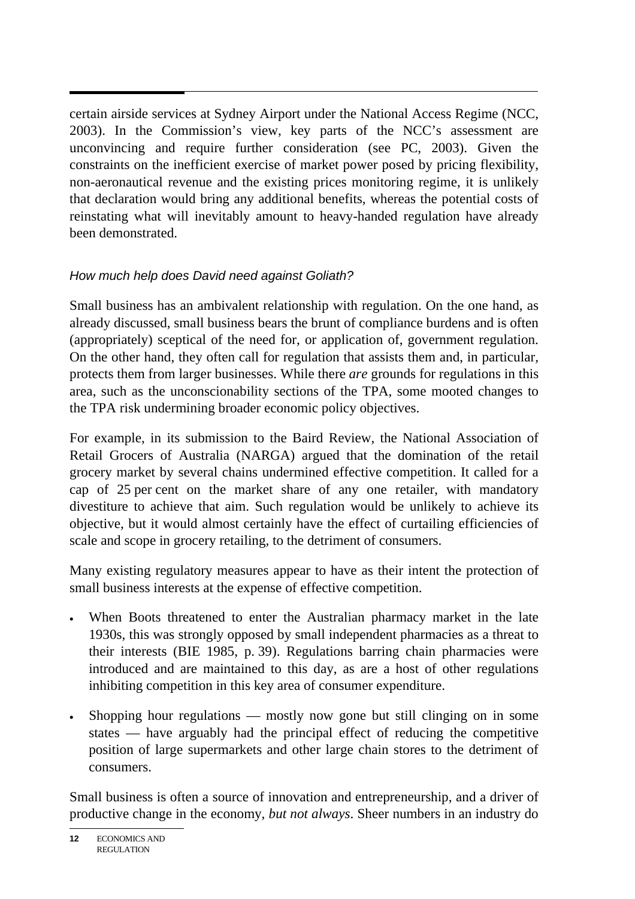certain airside services at Sydney Airport under the National Access Regime (NCC, 2003). In the Commission's view, key parts of the NCC's assessment are unconvincing and require further consideration (see PC, 2003). Given the constraints on the inefficient exercise of market power posed by pricing flexibility, non-aeronautical revenue and the existing prices monitoring regime, it is unlikely that declaration would bring any additional benefits, whereas the potential costs of reinstating what will inevitably amount to heavy-handed regulation have already been demonstrated.

# *How much help does David need against Goliath?*

Small business has an ambivalent relationship with regulation. On the one hand, as already discussed, small business bears the brunt of compliance burdens and is often (appropriately) sceptical of the need for, or application of, government regulation. On the other hand, they often call for regulation that assists them and, in particular, protects them from larger businesses. While there *are* grounds for regulations in this area, such as the unconscionability sections of the TPA, some mooted changes to the TPA risk undermining broader economic policy objectives.

For example, in its submission to the Baird Review, the National Association of Retail Grocers of Australia (NARGA) argued that the domination of the retail grocery market by several chains undermined effective competition. It called for a cap of 25 per cent on the market share of any one retailer, with mandatory divestiture to achieve that aim. Such regulation would be unlikely to achieve its objective, but it would almost certainly have the effect of curtailing efficiencies of scale and scope in grocery retailing, to the detriment of consumers.

Many existing regulatory measures appear to have as their intent the protection of small business interests at the expense of effective competition.

- When Boots threatened to enter the Australian pharmacy market in the late 1930s, this was strongly opposed by small independent pharmacies as a threat to their interests (BIE 1985, p. 39). Regulations barring chain pharmacies were introduced and are maintained to this day, as are a host of other regulations inhibiting competition in this key area of consumer expenditure.
- Shopping hour regulations mostly now gone but still clinging on in some states — have arguably had the principal effect of reducing the competitive position of large supermarkets and other large chain stores to the detriment of consumers.

Small business is often a source of innovation and entrepreneurship, and a driver of productive change in the economy, *but not always*. Sheer numbers in an industry do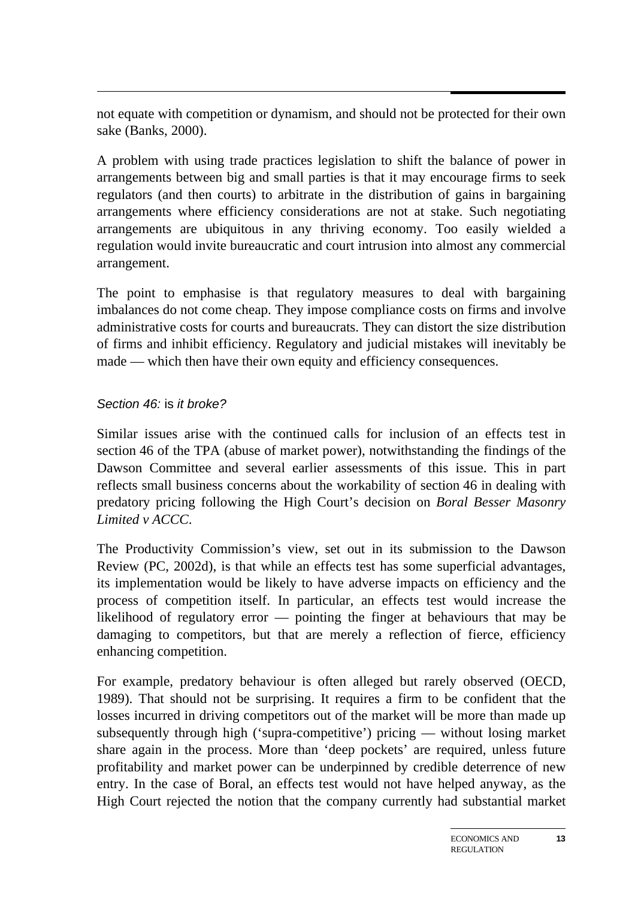not equate with competition or dynamism, and should not be protected for their own sake (Banks, 2000).

A problem with using trade practices legislation to shift the balance of power in arrangements between big and small parties is that it may encourage firms to seek regulators (and then courts) to arbitrate in the distribution of gains in bargaining arrangements where efficiency considerations are not at stake. Such negotiating arrangements are ubiquitous in any thriving economy. Too easily wielded a regulation would invite bureaucratic and court intrusion into almost any commercial arrangement.

The point to emphasise is that regulatory measures to deal with bargaining imbalances do not come cheap. They impose compliance costs on firms and involve administrative costs for courts and bureaucrats. They can distort the size distribution of firms and inhibit efficiency. Regulatory and judicial mistakes will inevitably be made — which then have their own equity and efficiency consequences.

#### *Section 46:* is *it broke?*

Similar issues arise with the continued calls for inclusion of an effects test in section 46 of the TPA (abuse of market power), notwithstanding the findings of the Dawson Committee and several earlier assessments of this issue. This in part reflects small business concerns about the workability of section 46 in dealing with predatory pricing following the High Court's decision on *Boral Besser Masonry Limited v ACCC*.

The Productivity Commission's view, set out in its submission to the Dawson Review (PC, 2002d), is that while an effects test has some superficial advantages, its implementation would be likely to have adverse impacts on efficiency and the process of competition itself. In particular, an effects test would increase the likelihood of regulatory error — pointing the finger at behaviours that may be damaging to competitors, but that are merely a reflection of fierce, efficiency enhancing competition.

For example, predatory behaviour is often alleged but rarely observed (OECD, 1989). That should not be surprising. It requires a firm to be confident that the losses incurred in driving competitors out of the market will be more than made up subsequently through high ('supra-competitive') pricing — without losing market share again in the process. More than 'deep pockets' are required, unless future profitability and market power can be underpinned by credible deterrence of new entry. In the case of Boral, an effects test would not have helped anyway, as the High Court rejected the notion that the company currently had substantial market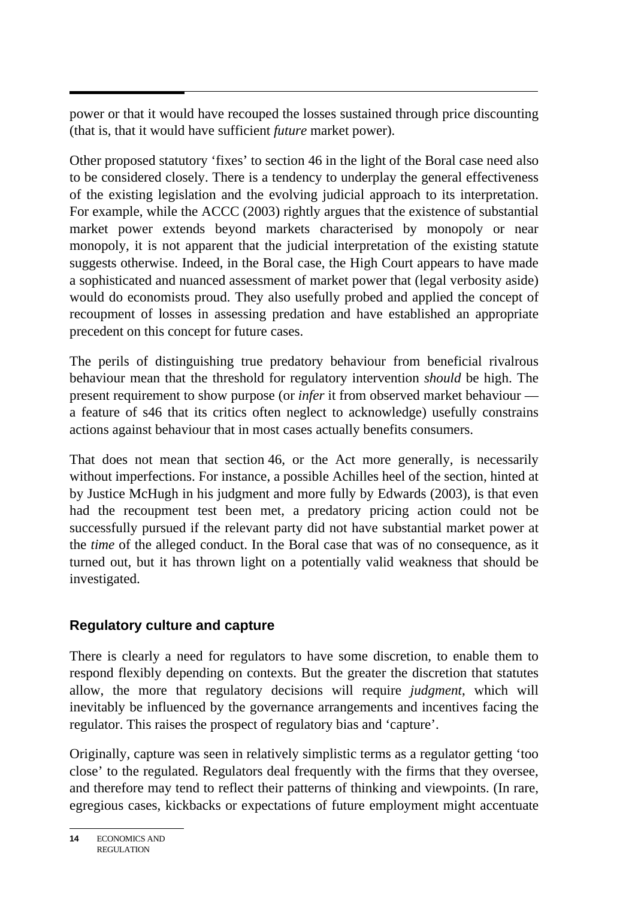power or that it would have recouped the losses sustained through price discounting (that is, that it would have sufficient *future* market power).

Other proposed statutory 'fixes' to section 46 in the light of the Boral case need also to be considered closely. There is a tendency to underplay the general effectiveness of the existing legislation and the evolving judicial approach to its interpretation. For example, while the ACCC (2003) rightly argues that the existence of substantial market power extends beyond markets characterised by monopoly or near monopoly, it is not apparent that the judicial interpretation of the existing statute suggests otherwise. Indeed, in the Boral case, the High Court appears to have made a sophisticated and nuanced assessment of market power that (legal verbosity aside) would do economists proud. They also usefully probed and applied the concept of recoupment of losses in assessing predation and have established an appropriate precedent on this concept for future cases.

The perils of distinguishing true predatory behaviour from beneficial rivalrous behaviour mean that the threshold for regulatory intervention *should* be high. The present requirement to show purpose (or *infer* it from observed market behaviour a feature of s46 that its critics often neglect to acknowledge) usefully constrains actions against behaviour that in most cases actually benefits consumers.

That does not mean that section 46, or the Act more generally, is necessarily without imperfections. For instance, a possible Achilles heel of the section, hinted at by Justice McHugh in his judgment and more fully by Edwards (2003), is that even had the recoupment test been met, a predatory pricing action could not be successfully pursued if the relevant party did not have substantial market power at the *time* of the alleged conduct. In the Boral case that was of no consequence, as it turned out, but it has thrown light on a potentially valid weakness that should be investigated.

# **Regulatory culture and capture**

There is clearly a need for regulators to have some discretion, to enable them to respond flexibly depending on contexts. But the greater the discretion that statutes allow, the more that regulatory decisions will require *judgment*, which will inevitably be influenced by the governance arrangements and incentives facing the regulator. This raises the prospect of regulatory bias and 'capture'.

Originally, capture was seen in relatively simplistic terms as a regulator getting 'too close' to the regulated. Regulators deal frequently with the firms that they oversee, and therefore may tend to reflect their patterns of thinking and viewpoints. (In rare, egregious cases, kickbacks or expectations of future employment might accentuate

**<sup>14</sup>** ECONOMICS AND REGULATION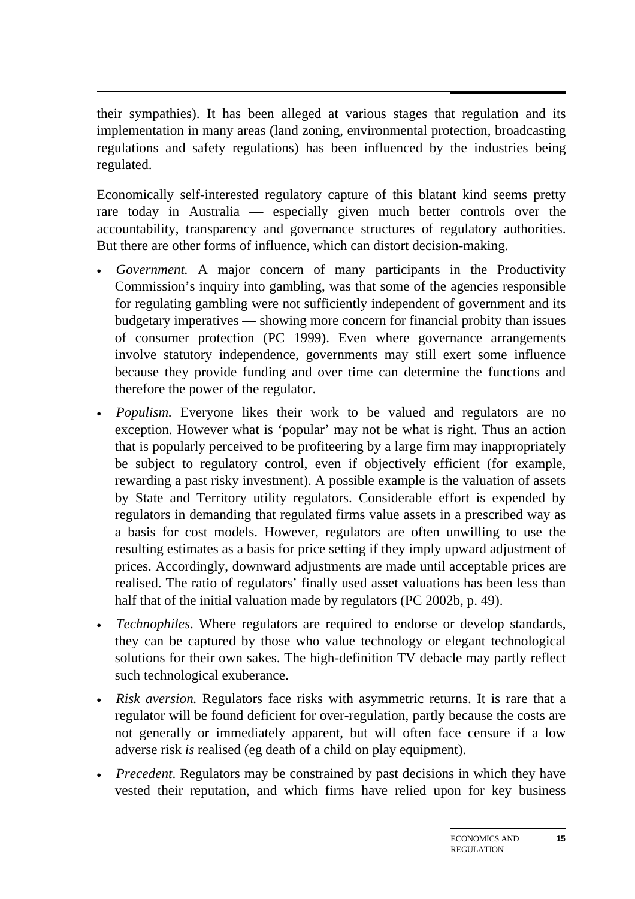their sympathies). It has been alleged at various stages that regulation and its implementation in many areas (land zoning, environmental protection, broadcasting regulations and safety regulations) has been influenced by the industries being regulated.

Economically self-interested regulatory capture of this blatant kind seems pretty rare today in Australia — especially given much better controls over the accountability, transparency and governance structures of regulatory authorities. But there are other forms of influence, which can distort decision-making.

- *Government.* A major concern of many participants in the Productivity Commission's inquiry into gambling, was that some of the agencies responsible for regulating gambling were not sufficiently independent of government and its budgetary imperatives — showing more concern for financial probity than issues of consumer protection (PC 1999). Even where governance arrangements involve statutory independence, governments may still exert some influence because they provide funding and over time can determine the functions and therefore the power of the regulator.
- *Populism.* Everyone likes their work to be valued and regulators are no exception. However what is 'popular' may not be what is right. Thus an action that is popularly perceived to be profiteering by a large firm may inappropriately be subject to regulatory control, even if objectively efficient (for example, rewarding a past risky investment). A possible example is the valuation of assets by State and Territory utility regulators. Considerable effort is expended by regulators in demanding that regulated firms value assets in a prescribed way as a basis for cost models. However, regulators are often unwilling to use the resulting estimates as a basis for price setting if they imply upward adjustment of prices. Accordingly, downward adjustments are made until acceptable prices are realised. The ratio of regulators' finally used asset valuations has been less than half that of the initial valuation made by regulators (PC 2002b, p. 49).
- *Technophiles*. Where regulators are required to endorse or develop standards, they can be captured by those who value technology or elegant technological solutions for their own sakes. The high-definition TV debacle may partly reflect such technological exuberance.
- *Risk aversion.* Regulators face risks with asymmetric returns. It is rare that a regulator will be found deficient for over-regulation, partly because the costs are not generally or immediately apparent, but will often face censure if a low adverse risk *is* realised (eg death of a child on play equipment).
- *Precedent*. Regulators may be constrained by past decisions in which they have vested their reputation, and which firms have relied upon for key business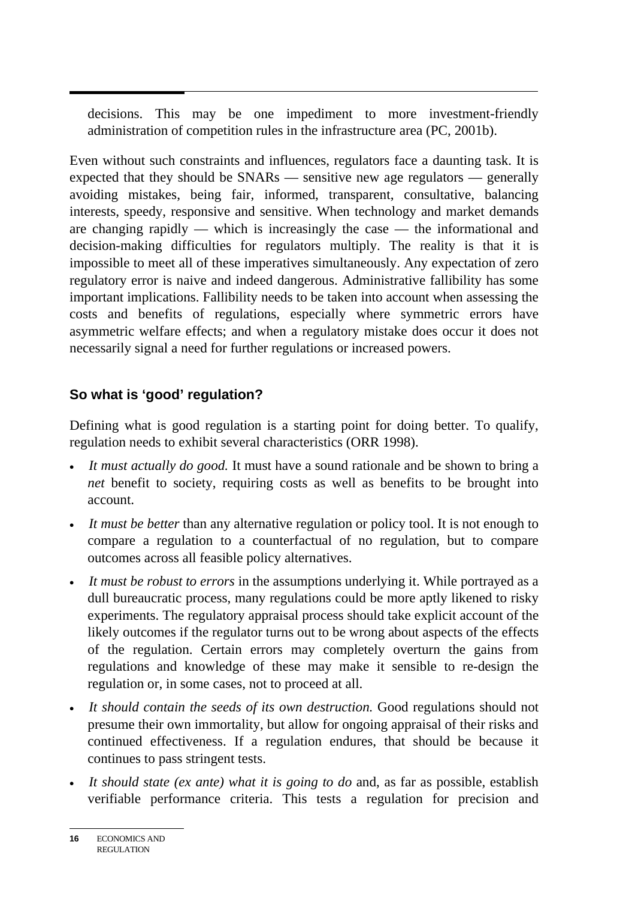decisions. This may be one impediment to more investment-friendly administration of competition rules in the infrastructure area (PC, 2001b).

Even without such constraints and influences, regulators face a daunting task. It is expected that they should be SNARs — sensitive new age regulators — generally avoiding mistakes, being fair, informed, transparent, consultative, balancing interests, speedy, responsive and sensitive. When technology and market demands are changing rapidly — which is increasingly the case — the informational and decision-making difficulties for regulators multiply. The reality is that it is impossible to meet all of these imperatives simultaneously. Any expectation of zero regulatory error is naive and indeed dangerous. Administrative fallibility has some important implications. Fallibility needs to be taken into account when assessing the costs and benefits of regulations, especially where symmetric errors have asymmetric welfare effects; and when a regulatory mistake does occur it does not necessarily signal a need for further regulations or increased powers.

# **So what is 'good' regulation?**

Defining what is good regulation is a starting point for doing better. To qualify, regulation needs to exhibit several characteristics (ORR 1998).

- *It must actually do good.* It must have a sound rationale and be shown to bring a *net* benefit to society, requiring costs as well as benefits to be brought into account.
- *It must be better* than any alternative regulation or policy tool. It is not enough to compare a regulation to a counterfactual of no regulation, but to compare outcomes across all feasible policy alternatives.
- *It must be robust to errors* in the assumptions underlying it. While portrayed as a dull bureaucratic process, many regulations could be more aptly likened to risky experiments. The regulatory appraisal process should take explicit account of the likely outcomes if the regulator turns out to be wrong about aspects of the effects of the regulation. Certain errors may completely overturn the gains from regulations and knowledge of these may make it sensible to re-design the regulation or, in some cases, not to proceed at all.
- *It should contain the seeds of its own destruction.* Good regulations should not presume their own immortality, but allow for ongoing appraisal of their risks and continued effectiveness. If a regulation endures, that should be because it continues to pass stringent tests.
- *It should state (ex ante) what it is going to do* and, as far as possible, establish verifiable performance criteria. This tests a regulation for precision and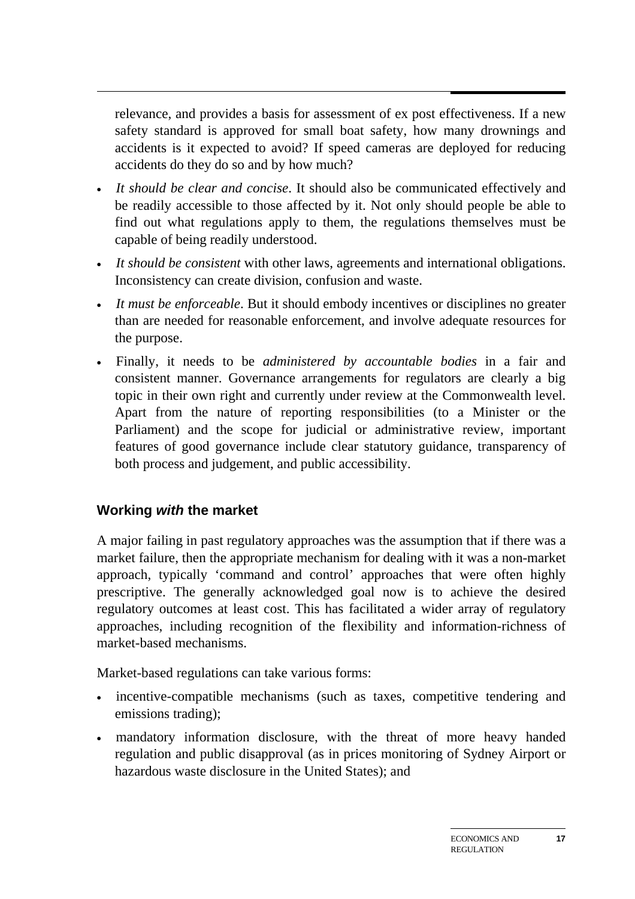relevance, and provides a basis for assessment of ex post effectiveness. If a new safety standard is approved for small boat safety, how many drownings and accidents is it expected to avoid? If speed cameras are deployed for reducing accidents do they do so and by how much?

- *It should be clear and concise*. It should also be communicated effectively and be readily accessible to those affected by it. Not only should people be able to find out what regulations apply to them, the regulations themselves must be capable of being readily understood.
- *It should be consistent* with other laws, agreements and international obligations. Inconsistency can create division, confusion and waste.
- *It must be enforceable*. But it should embody incentives or disciplines no greater than are needed for reasonable enforcement, and involve adequate resources for the purpose.
- Finally, it needs to be *administered by accountable bodies* in a fair and consistent manner. Governance arrangements for regulators are clearly a big topic in their own right and currently under review at the Commonwealth level. Apart from the nature of reporting responsibilities (to a Minister or the Parliament) and the scope for judicial or administrative review, important features of good governance include clear statutory guidance, transparency of both process and judgement, and public accessibility.

# **Working** *with* **the market**

A major failing in past regulatory approaches was the assumption that if there was a market failure, then the appropriate mechanism for dealing with it was a non-market approach, typically 'command and control' approaches that were often highly prescriptive. The generally acknowledged goal now is to achieve the desired regulatory outcomes at least cost. This has facilitated a wider array of regulatory approaches, including recognition of the flexibility and information-richness of market-based mechanisms.

Market-based regulations can take various forms:

- incentive-compatible mechanisms (such as taxes, competitive tendering and emissions trading);
- mandatory information disclosure, with the threat of more heavy handed regulation and public disapproval (as in prices monitoring of Sydney Airport or hazardous waste disclosure in the United States); and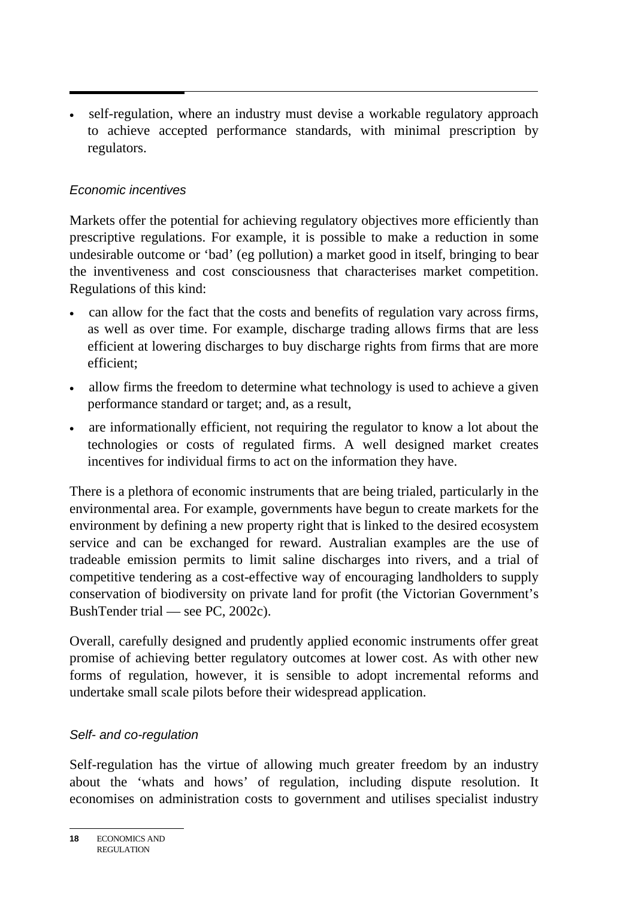• self-regulation, where an industry must devise a workable regulatory approach to achieve accepted performance standards, with minimal prescription by regulators.

### *Economic incentives*

Markets offer the potential for achieving regulatory objectives more efficiently than prescriptive regulations. For example, it is possible to make a reduction in some undesirable outcome or 'bad' (eg pollution) a market good in itself, bringing to bear the inventiveness and cost consciousness that characterises market competition. Regulations of this kind:

- can allow for the fact that the costs and benefits of regulation vary across firms, as well as over time. For example, discharge trading allows firms that are less efficient at lowering discharges to buy discharge rights from firms that are more efficient;
- allow firms the freedom to determine what technology is used to achieve a given performance standard or target; and, as a result,
- are informationally efficient, not requiring the regulator to know a lot about the technologies or costs of regulated firms. A well designed market creates incentives for individual firms to act on the information they have.

There is a plethora of economic instruments that are being trialed, particularly in the environmental area. For example, governments have begun to create markets for the environment by defining a new property right that is linked to the desired ecosystem service and can be exchanged for reward. Australian examples are the use of tradeable emission permits to limit saline discharges into rivers, and a trial of competitive tendering as a cost-effective way of encouraging landholders to supply conservation of biodiversity on private land for profit (the Victorian Government's BushTender trial — see PC, 2002c).

Overall, carefully designed and prudently applied economic instruments offer great promise of achieving better regulatory outcomes at lower cost. As with other new forms of regulation, however, it is sensible to adopt incremental reforms and undertake small scale pilots before their widespread application.

#### *Self- and co-regulation*

Self-regulation has the virtue of allowing much greater freedom by an industry about the 'whats and hows' of regulation, including dispute resolution. It economises on administration costs to government and utilises specialist industry

**<sup>18</sup>** ECONOMICS AND REGULATION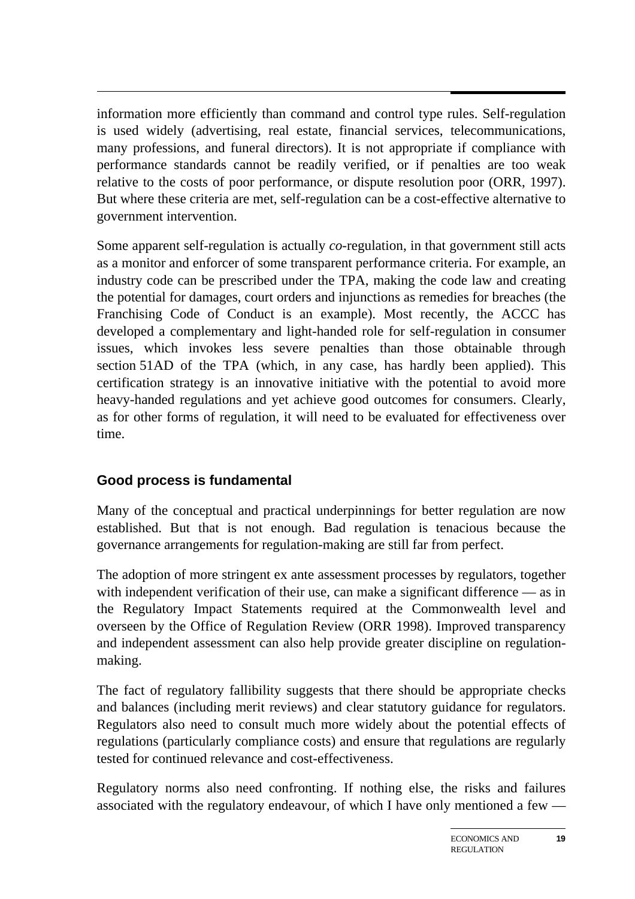$\overline{a}$ information more efficiently than command and control type rules. Self-regulation is used widely (advertising, real estate, financial services, telecommunications, many professions, and funeral directors). It is not appropriate if compliance with performance standards cannot be readily verified, or if penalties are too weak relative to the costs of poor performance, or dispute resolution poor (ORR, 1997). But where these criteria are met, self-regulation can be a cost-effective alternative to government intervention.

Some apparent self-regulation is actually *co*-regulation, in that government still acts as a monitor and enforcer of some transparent performance criteria. For example, an industry code can be prescribed under the TPA, making the code law and creating the potential for damages, court orders and injunctions as remedies for breaches (the Franchising Code of Conduct is an example). Most recently, the ACCC has developed a complementary and light-handed role for self-regulation in consumer issues, which invokes less severe penalties than those obtainable through section 51AD of the TPA (which, in any case, has hardly been applied). This certification strategy is an innovative initiative with the potential to avoid more heavy-handed regulations and yet achieve good outcomes for consumers. Clearly, as for other forms of regulation, it will need to be evaluated for effectiveness over time.

# **Good process is fundamental**

Many of the conceptual and practical underpinnings for better regulation are now established. But that is not enough. Bad regulation is tenacious because the governance arrangements for regulation-making are still far from perfect.

The adoption of more stringent ex ante assessment processes by regulators, together with independent verification of their use, can make a significant difference — as in the Regulatory Impact Statements required at the Commonwealth level and overseen by the Office of Regulation Review (ORR 1998). Improved transparency and independent assessment can also help provide greater discipline on regulationmaking.

The fact of regulatory fallibility suggests that there should be appropriate checks and balances (including merit reviews) and clear statutory guidance for regulators. Regulators also need to consult much more widely about the potential effects of regulations (particularly compliance costs) and ensure that regulations are regularly tested for continued relevance and cost-effectiveness.

Regulatory norms also need confronting. If nothing else, the risks and failures associated with the regulatory endeavour, of which I have only mentioned a few —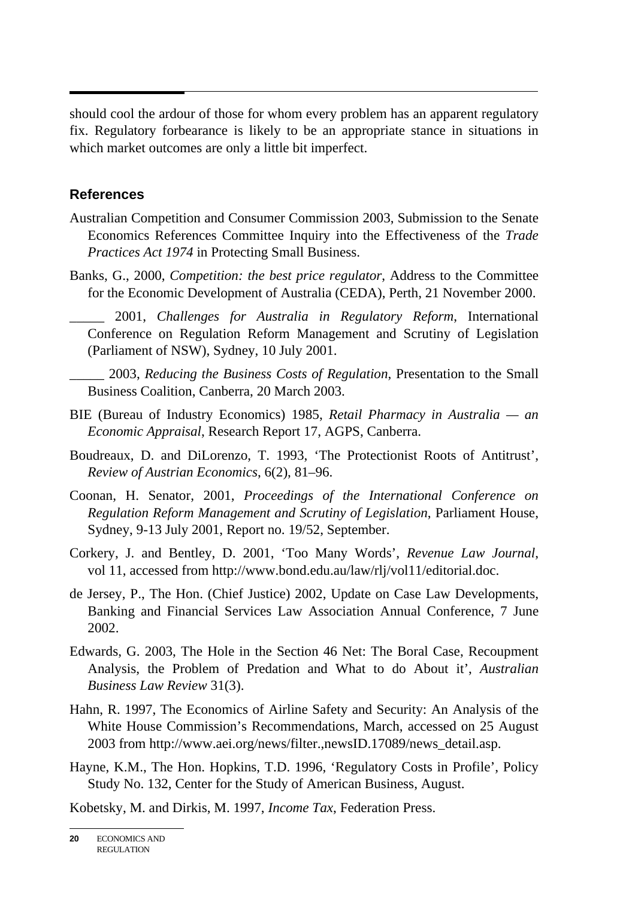should cool the ardour of those for whom every problem has an apparent regulatory fix. Regulatory forbearance is likely to be an appropriate stance in situations in which market outcomes are only a little bit imperfect.

#### **References**

- Australian Competition and Consumer Commission 2003, Submission to the Senate Economics References Committee Inquiry into the Effectiveness of the *Trade Practices Act 1974* in Protecting Small Business.
- Banks, G., 2000, *Competition: the best price regulator*, Address to the Committee for the Economic Development of Australia (CEDA), Perth, 21 November 2000.
	- \_\_\_\_\_ 2001, *Challenges for Australia in Regulatory Reform*, International Conference on Regulation Reform Management and Scrutiny of Legislation (Parliament of NSW), Sydney, 10 July 2001.

\_\_\_\_\_ 2003, *Reducing the Business Costs of Regulation*, Presentation to the Small Business Coalition, Canberra, 20 March 2003.

- BIE (Bureau of Industry Economics) 1985, *Retail Pharmacy in Australia an Economic Appraisal*, Research Report 17, AGPS, Canberra.
- Boudreaux, D. and DiLorenzo, T. 1993, 'The Protectionist Roots of Antitrust', *Review of Austrian Economics*, 6(2), 81–96.
- Coonan, H. Senator, 2001, *Proceedings of the International Conference on Regulation Reform Management and Scrutiny of Legislation*, Parliament House, Sydney, 9-13 July 2001, Report no. 19/52, September.
- Corkery, J. and Bentley, D. 2001, 'Too Many Words', *Revenue Law Journal*, vol 11, accessed from http://www.bond.edu.au/law/rlj/vol11/editorial.doc.
- de Jersey, P., The Hon. (Chief Justice) 2002, Update on Case Law Developments, Banking and Financial Services Law Association Annual Conference, 7 June 2002.
- Edwards, G. 2003, The Hole in the Section 46 Net: The Boral Case, Recoupment Analysis, the Problem of Predation and What to do About it', *Australian Business Law Review* 31(3).
- Hahn, R. 1997, The Economics of Airline Safety and Security: An Analysis of the White House Commission's Recommendations, March, accessed on 25 August 2003 from http://www.aei.org/news/filter.,newsID.17089/news\_detail.asp.
- Hayne, K.M., The Hon. Hopkins, T.D. 1996, 'Regulatory Costs in Profile', Policy Study No. 132, Center for the Study of American Business, August.

Kobetsky, M. and Dirkis, M. 1997, *Income Tax*, Federation Press.